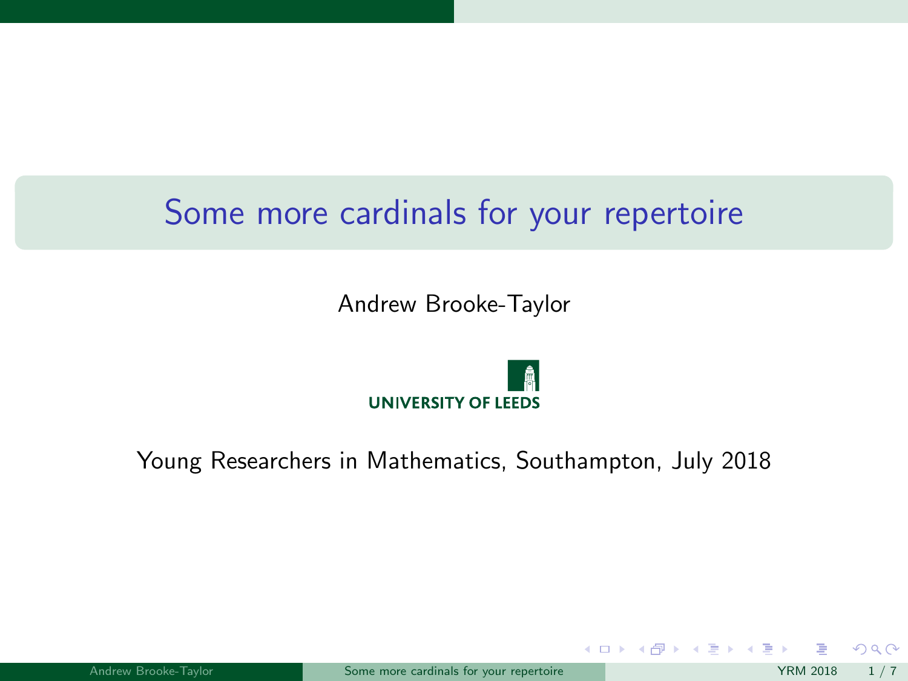# <span id="page-0-0"></span>Some more cardinals for your repertoire

Andrew Brooke-Taylor



Young Researchers in Mathematics, Southampton, July 2018

 $2Q$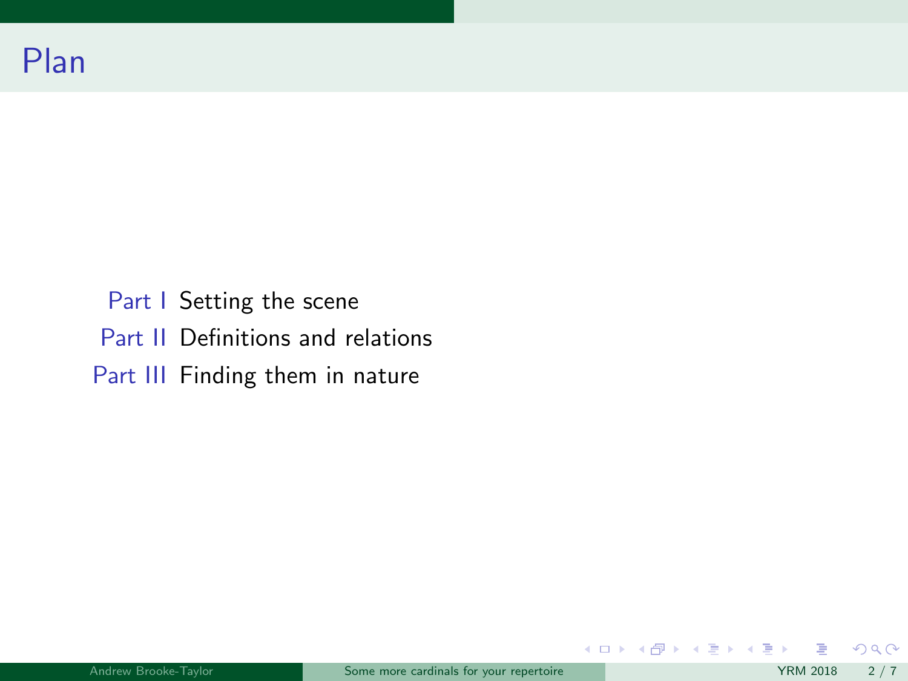# Plan

Part I Setting the scene Part II Definitions and relations Part III Finding them in nature

 $299$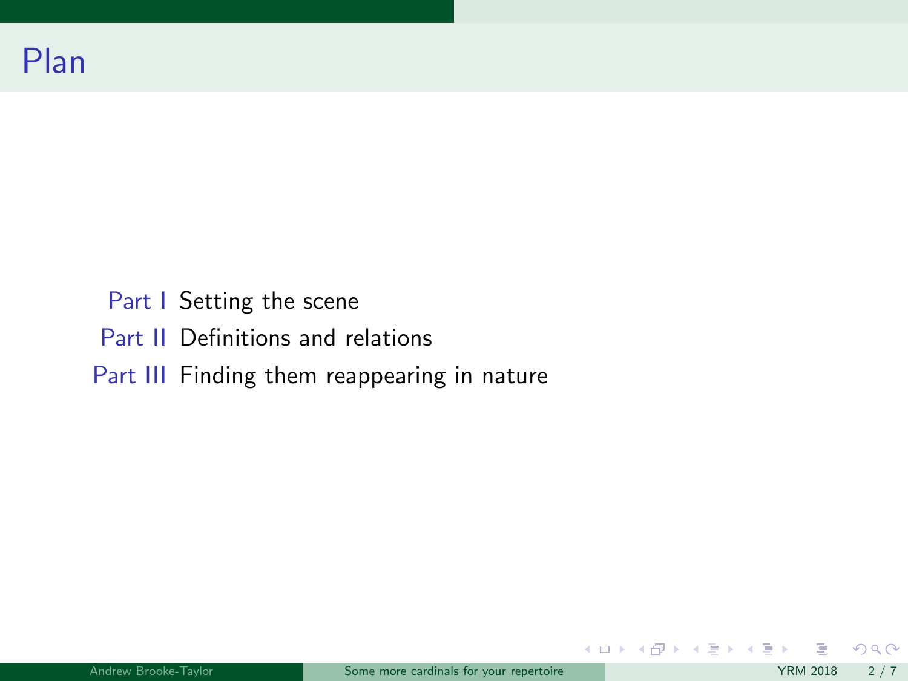Part I Setting the scene Part II Definitions and relations Part III Finding them reappearing in nature

 $299$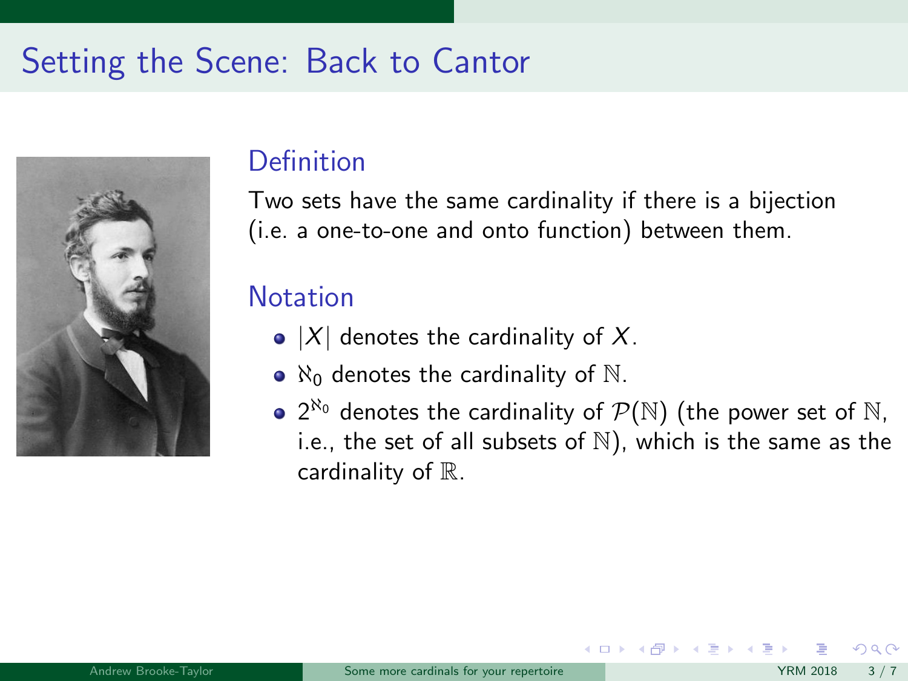# Setting the Scene: Back to Cantor



### **Definition**

Two sets have the same cardinality if there is a bijection (i.e. a one-to-one and onto function) between them.

### **Notation**

- $\bullet$  |X| denotes the cardinality of X.
- $\bullet$   $\aleph_0$  denotes the cardinality of  $\aleph$ .
- $2^{\aleph_0}$  denotes the cardinality of  $\mathcal{P}(\mathbb{N})$  (the power set of  $\mathbb N,$ i.e., the set of all subsets of  $\mathbb N$ ), which is the same as the cardinality of  $\mathbb{R}$ .

メロト メ押 トメミトメミ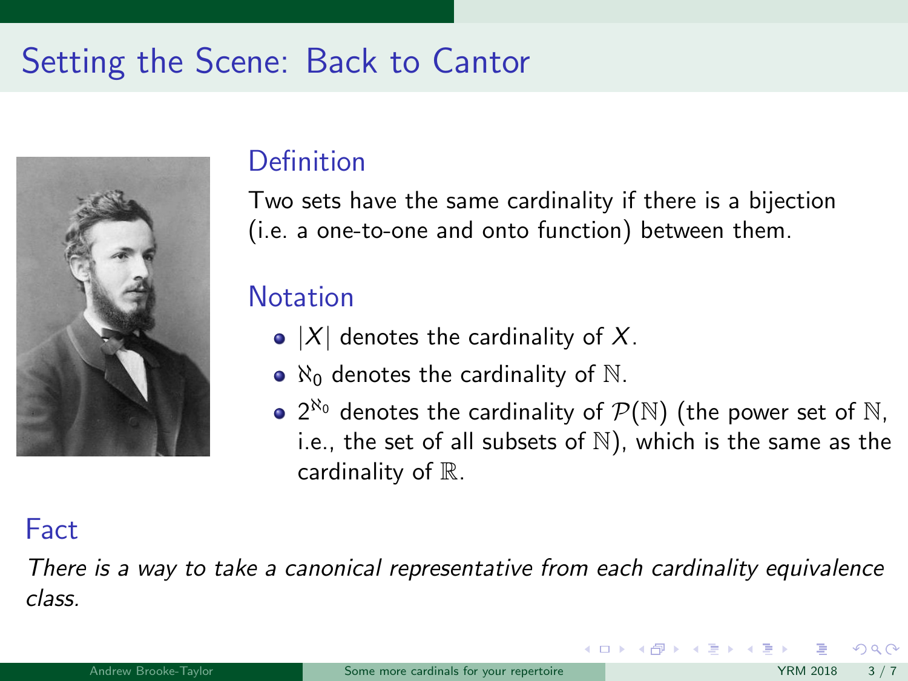# Setting the Scene: Back to Cantor



## **Definition**

Two sets have the same cardinality if there is a bijection (i.e. a one-to-one and onto function) between them.

## **Notation**

- $\bullet$  |X| denotes the cardinality of X.
- $\bullet$   $\aleph_0$  denotes the cardinality of  $\aleph$ .
- $2^{\aleph_0}$  denotes the cardinality of  $\mathcal{P}(\mathbb{N})$  (the power set of  $\mathbb N,$ i.e., the set of all subsets of  $\mathbb N$ ), which is the same as the cardinality of  $\mathbb{R}$ .

 $\left\{ \begin{array}{ccc} 1 & 0 & 0 \\ 0 & 1 & 0 \end{array} \right\}$  ,  $\left\{ \begin{array}{ccc} 0 & 0 & 0 \\ 0 & 0 & 0 \end{array} \right\}$ 

### Fact

There is a way to take a canonical representative from each cardinality equivalence class.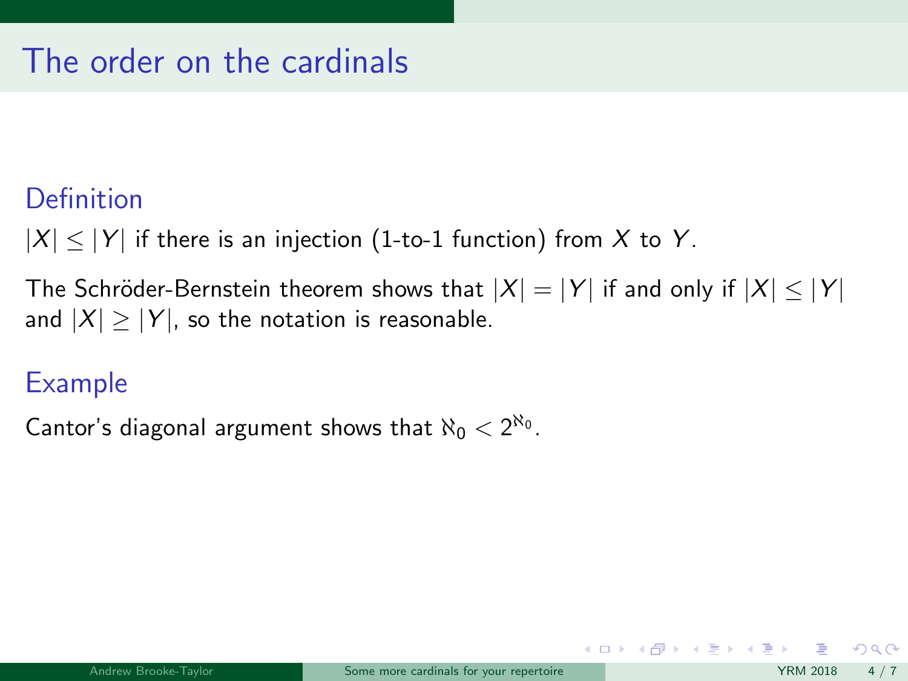# The order on the cardinals

### **Definition**

 $|X| \leq |Y|$  if there is an injection (1-to-1 function) from X to Y.

The Schröder-Bernstein theorem shows that  $|X| = |Y|$  if and only if  $|X| \le |Y|$ and  $|X| \ge |Y|$ , so the notation is reasonable.

## Example

Cantor's diagonal argument shows that  $\aleph_0 < 2^{\aleph_0}$ .

 $\Omega$ 

メロメ メ御き メミメ メミメ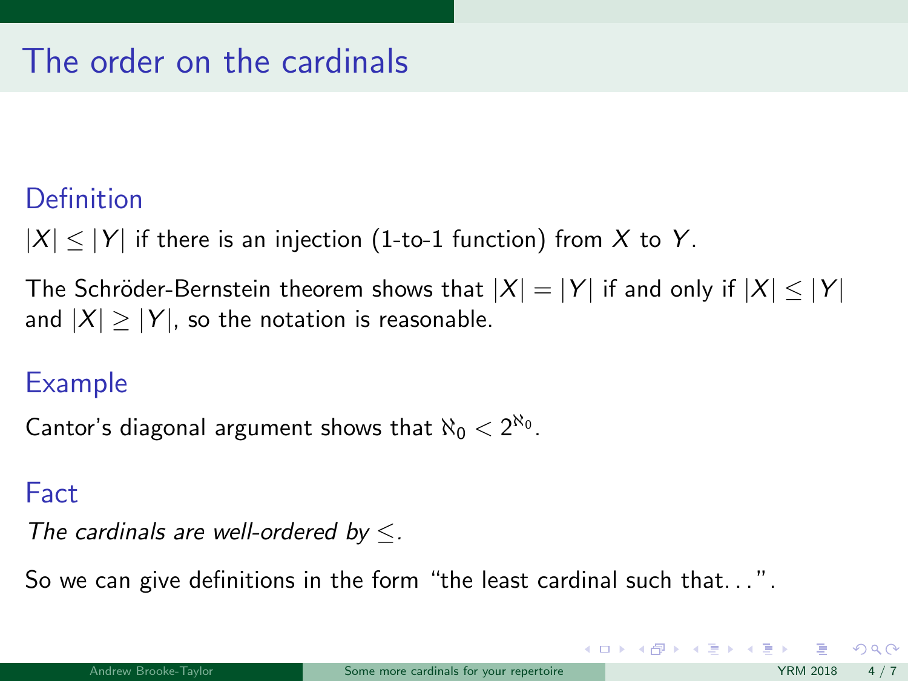# The order on the cardinals

## **Definition**

 $|X| \leq |Y|$  if there is an injection (1-to-1 function) from X to Y.

The Schröder-Bernstein theorem shows that  $|X| = |Y|$  if and only if  $|X| \leq |Y|$ and  $|X| \ge |Y|$ , so the notation is reasonable.

## Example

Cantor's diagonal argument shows that  $\aleph_0 < 2^{\aleph_0}$ .

### Fact

The cardinals are well-ordered by  $\leq$ .

So we can give definitions in the form "the least cardinal such that...".

イロト イ押 トイヨ トイヨ トー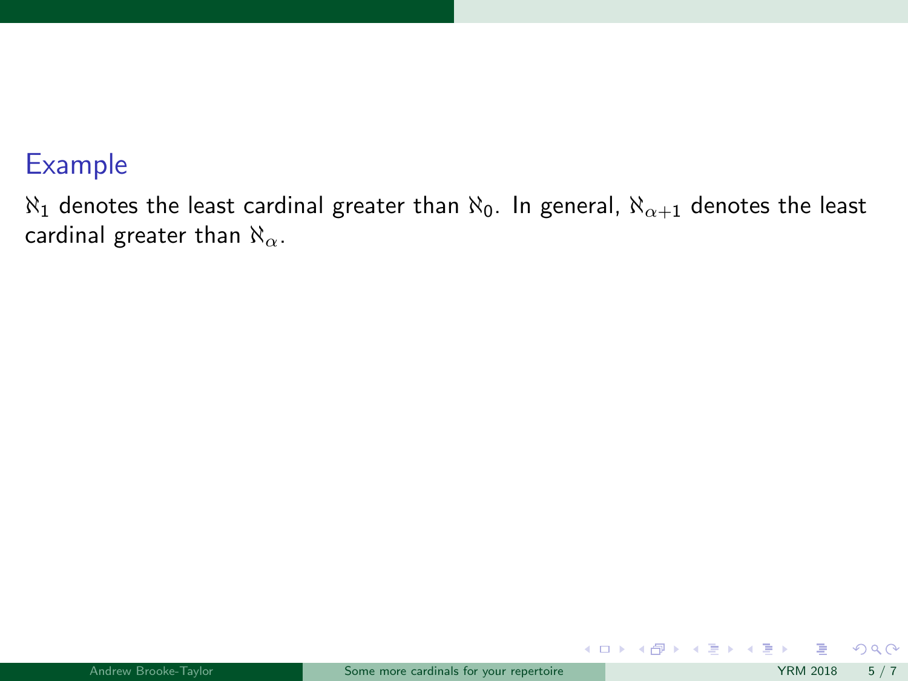$\aleph_1$  denotes the least cardinal greater than  $\aleph_0$ . In general,  $\aleph_{\alpha+1}$  denotes the least cardinal greater than  $\aleph_{\alpha}$ .

 $299$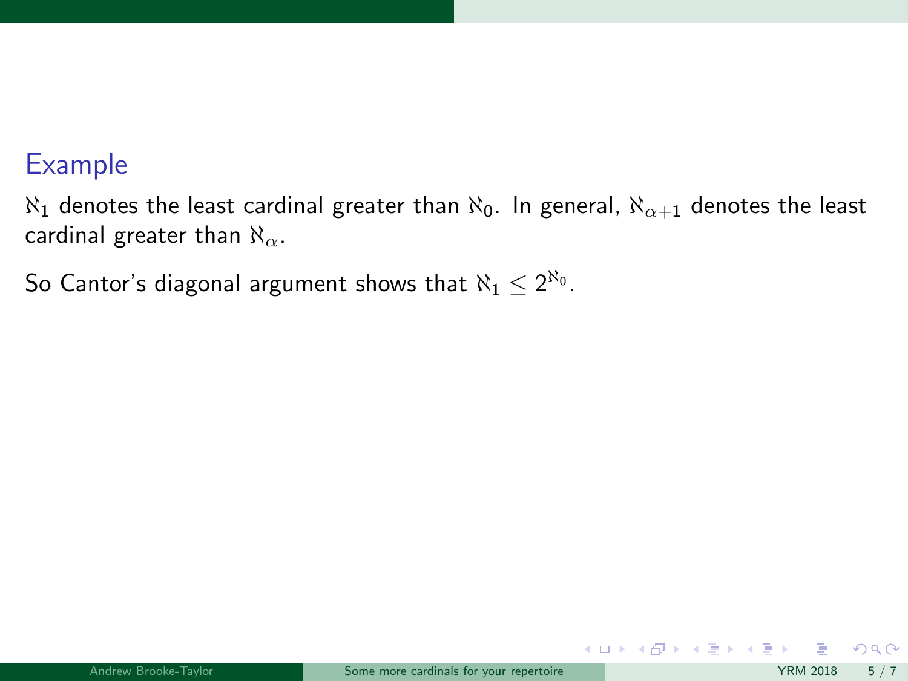$\aleph_1$  denotes the least cardinal greater than  $\aleph_0$ . In general,  $\aleph_{\alpha+1}$  denotes the least cardinal greater than  $\aleph_{\alpha}$ .

So Cantor's diagonal argument shows that  $\aleph_1\leq 2^{\aleph_0}.$ 

 $299$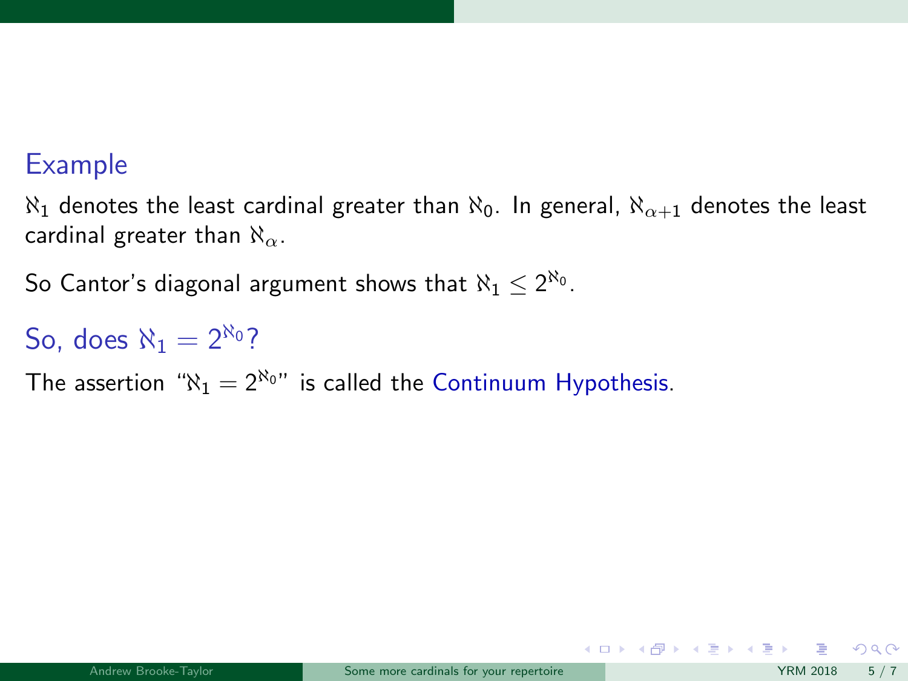$\aleph_1$  denotes the least cardinal greater than  $\aleph_0$ . In general,  $\aleph_{\alpha+1}$  denotes the least cardinal greater than  $\aleph_{\alpha}$ .

So Cantor's diagonal argument shows that  $\aleph_1\leq 2^{\aleph_0}.$ 

# So, does  $\aleph_1 = 2^{\aleph_0}$ ?

The assertion " $\aleph_1 = 2^{\aleph_0}$ " is called the Continuum Hypothesis.

 $QQ$ 

メロメ メ御き メミメ メミメ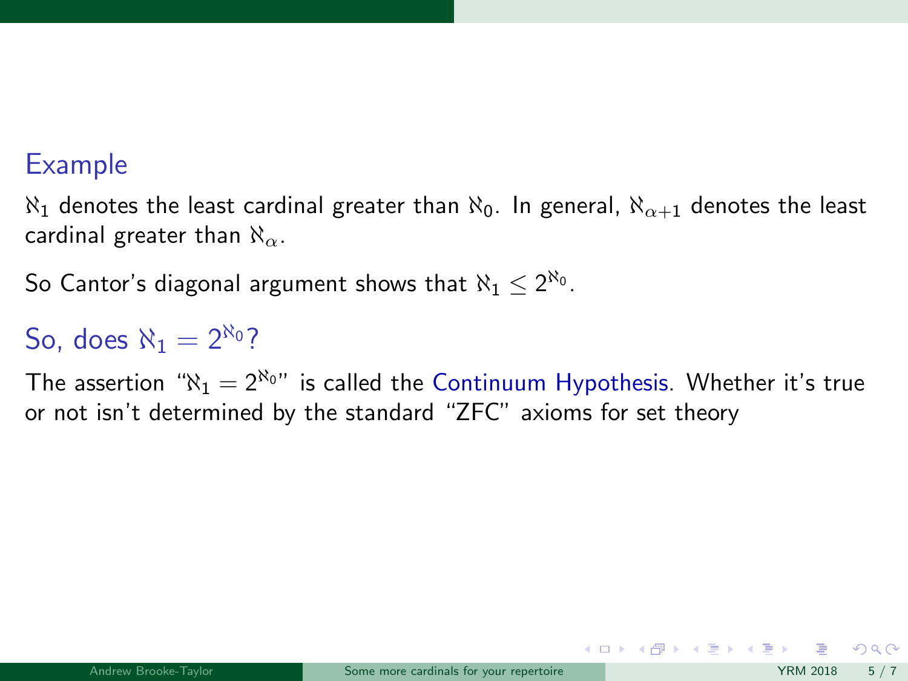$\aleph_1$  denotes the least cardinal greater than  $\aleph_0$ . In general,  $\aleph_{\alpha+1}$  denotes the least cardinal greater than  $\aleph_{\alpha}$ .

So Cantor's diagonal argument shows that  $\aleph_1\leq 2^{\aleph_0}.$ 

# So, does  $N_1 = 2^{N_0}$ ?

The assertion " $\aleph_1 = 2^{\aleph_0}$ " is called the Continuum Hypothesis. Whether it's true or not isn't determined by the standard "ZFC" axioms for set theory

 $\Omega$ 

 $\left\{ \begin{array}{ccc} 1 & 0 & 0 \\ 0 & 1 & 0 \end{array} \right.$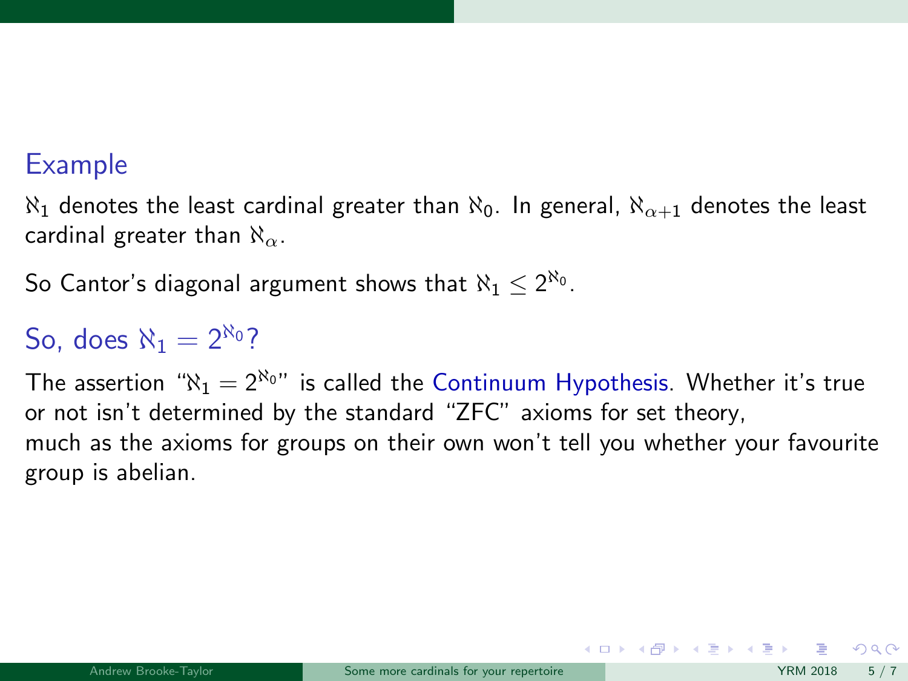$\aleph_1$  denotes the least cardinal greater than  $\aleph_0$ . In general,  $\aleph_{\alpha+1}$  denotes the least cardinal greater than  $\aleph_{\alpha}$ .

So Cantor's diagonal argument shows that  $\aleph_1\leq 2^{\aleph_0}.$ 

# So, does  $N_1 = 2^{N_0}$ ?

The assertion " $\aleph_1 = 2^{\aleph_0}$ " is called the Continuum Hypothesis. Whether it's true or not isn't determined by the standard "ZFC" axioms for set theory, much as the axioms for groups on their own won't tell you whether your favourite group is abelian.

 $\left\{ \begin{array}{ccc} 1 & 0 & 0 \\ 0 & 1 & 0 \end{array} \right.$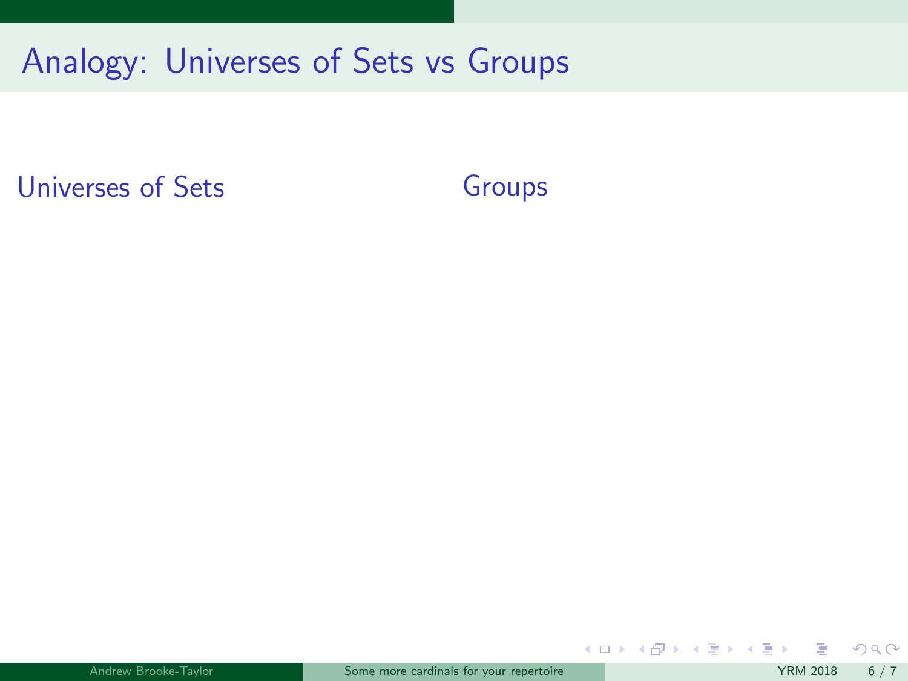Universes of Sets

Groups

 $299$ 

メロメ メ御き メミメ メミメ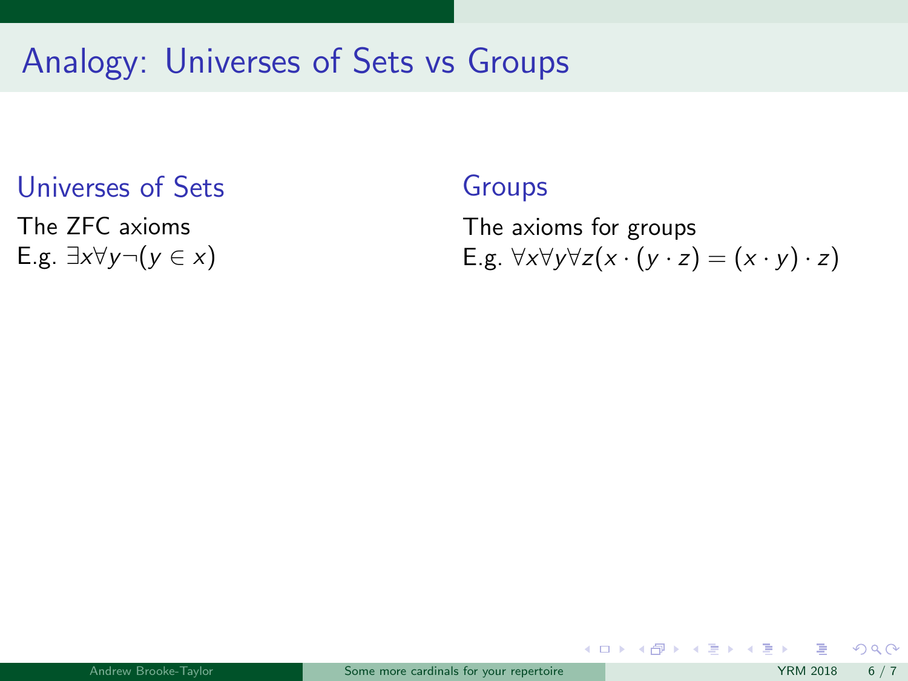# Universes of Sets

The ZFC axioms E.g.  $\exists x \forall y \neg (y \in x)$ 

### Groups

The axioms for groups E.g.  $\forall x \forall y \forall z (x \cdot (y \cdot z) = (x \cdot y) \cdot z)$ 

メロメ メ都 メメ 君 メメ ヨメ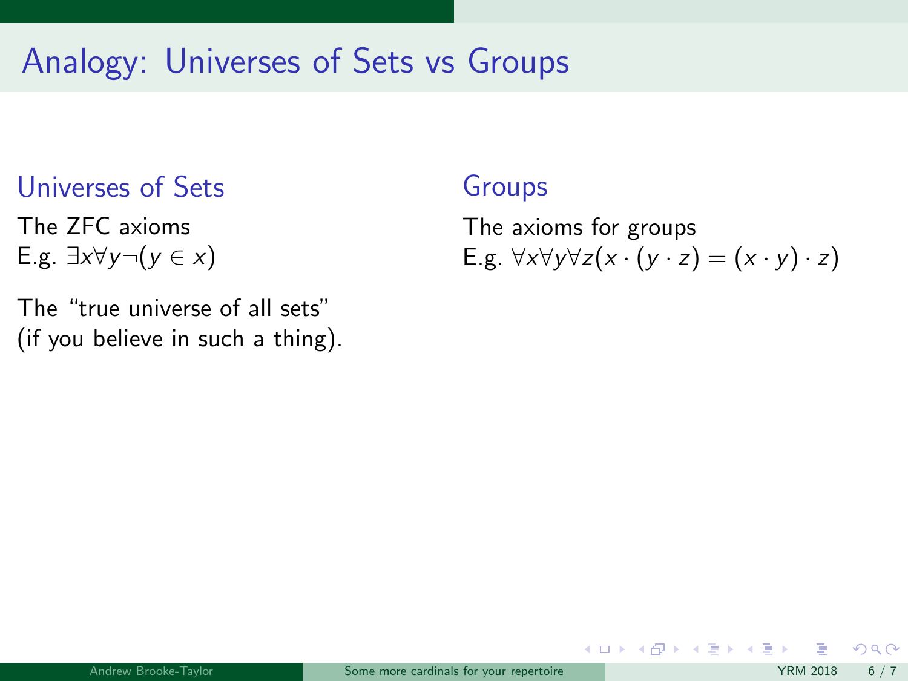# Universes of Sets

The ZFC axioms E.g.  $\exists x \forall y \neg (y \in x)$ 

The "true universe of all sets" (if you believe in such a thing).

### Groups

The axioms for groups E.g.  $\forall x \forall y \forall z (x \cdot (y \cdot z) = (x \cdot y) \cdot z)$ 

メロト メ母 トメミト メミト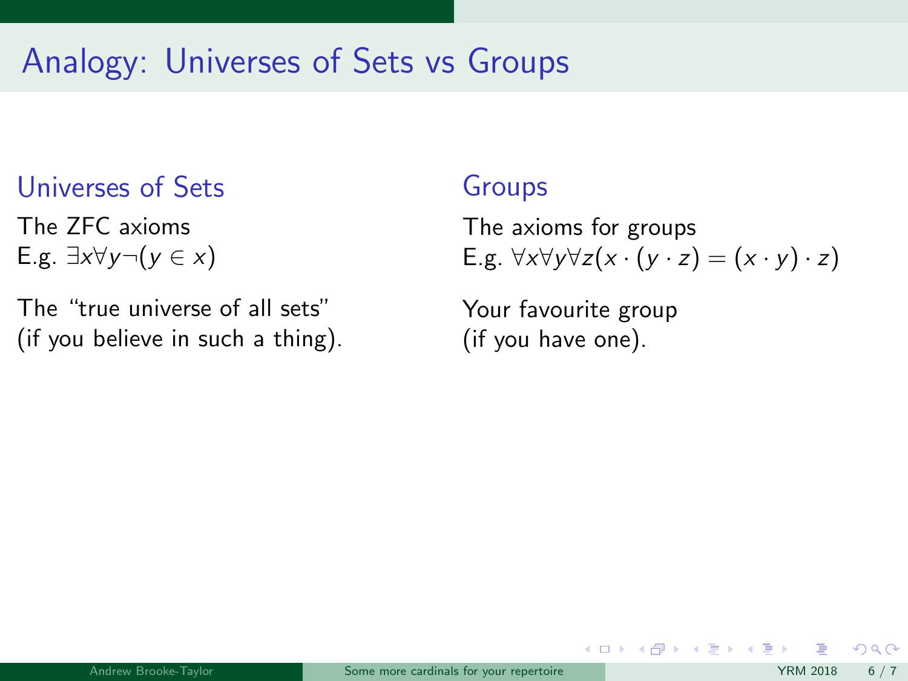## Universes of Sets

The ZFC axioms E.g.  $\exists x \forall y \neg (y \in x)$ 

The "true universe of all sets" (if you believe in such a thing).

### Groups

The axioms for groups E.g.  $\forall x \forall y \forall z (x \cdot (y \cdot z) = (x \cdot y) \cdot z)$ 

メロト メ母 トメミト メミト

Your favourite group (if you have one).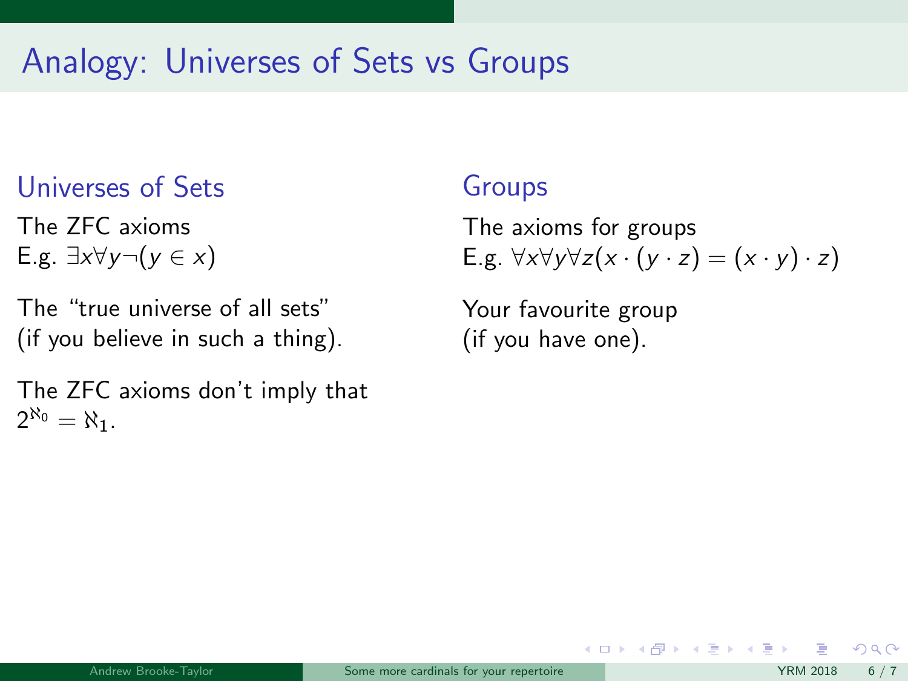## Universes of Sets

The ZFC axioms E.g.  $\exists x \forall y \neg (y \in x)$ 

The "true universe of all sets" (if you believe in such a thing).

The ZFC axioms don't imply that  $2^{\aleph_0} = \aleph_1$ .

### Groups

The axioms for groups E.g.  $\forall x \forall y \forall z (x \cdot (y \cdot z) = (x \cdot y) \cdot z)$ 

メロト メ何ト メミト メミト

Your favourite group (if you have one).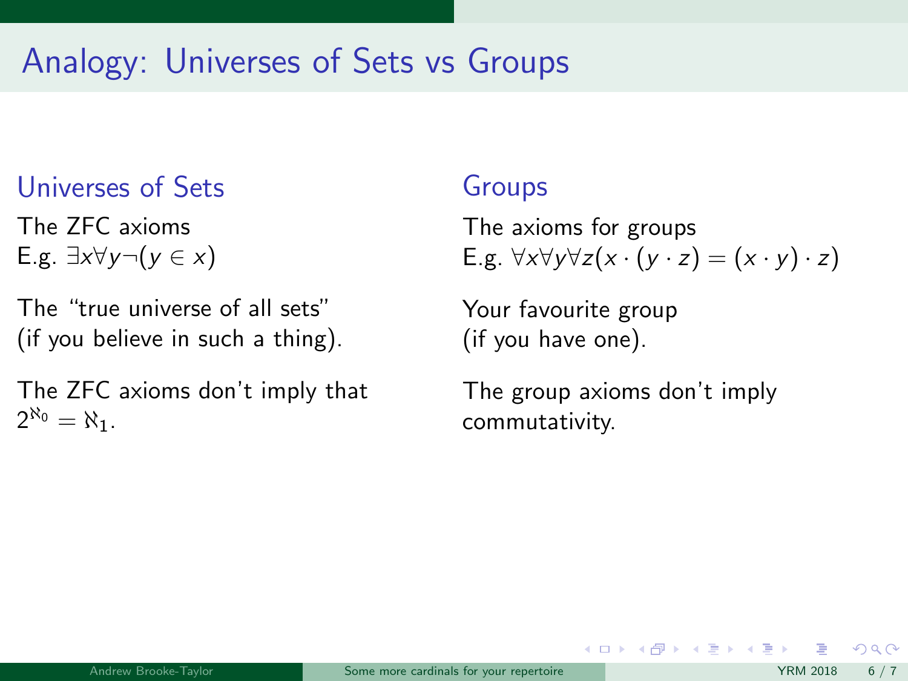## Universes of Sets

The ZFC axioms E.g.  $\exists x \forall y \neg (y \in x)$ 

The "true universe of all sets" (if you believe in such a thing).

The ZFC axioms don't imply that  $2^{\aleph_0} = \aleph_1$ .

### Groups

The axioms for groups E.g.  $\forall x \forall y \forall z (x \cdot (y \cdot z) = (x \cdot y) \cdot z)$ 

Your favourite group (if you have one).

The group axioms don't imply commutativity.

メロト メ何ト メミト メミト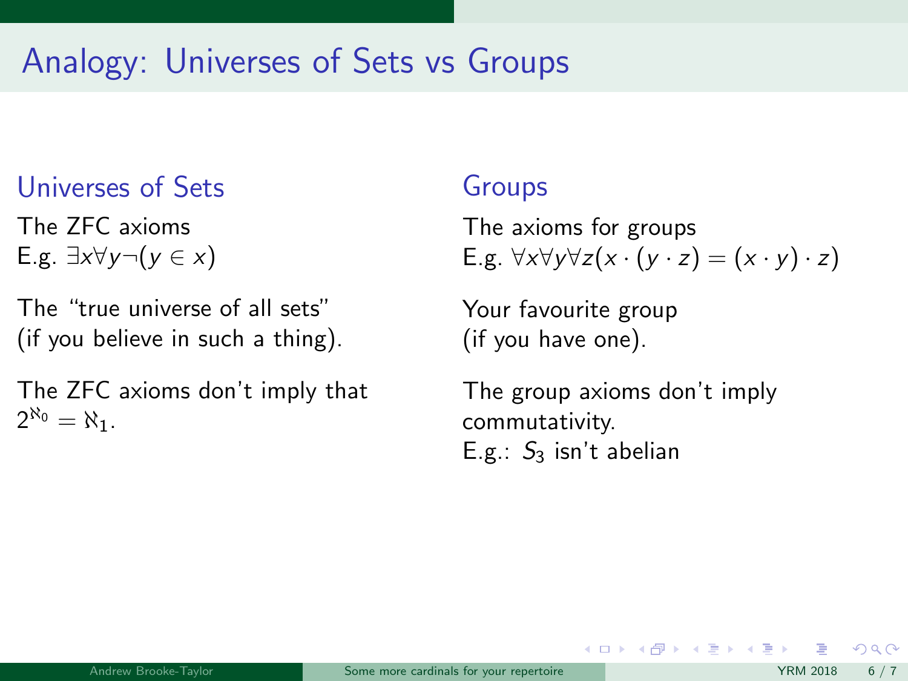## Universes of Sets

The ZFC axioms E.g.  $\exists x \forall y \neg (y \in x)$ 

The "true universe of all sets" (if you believe in such a thing).

The ZFC axioms don't imply that  $2^{\aleph_0} = \aleph_1$ .

### Groups

The axioms for groups E.g.  $\forall x \forall y \forall z (x \cdot (y \cdot z) = (x \cdot y) \cdot z)$ 

Your favourite group (if you have one).

The group axioms don't imply commutativity. E.g.:  $S_3$  isn't abelian

 $\left\{ \begin{array}{ccc} 1 & 0 & 0 \\ 0 & 1 & 0 \end{array} \right.$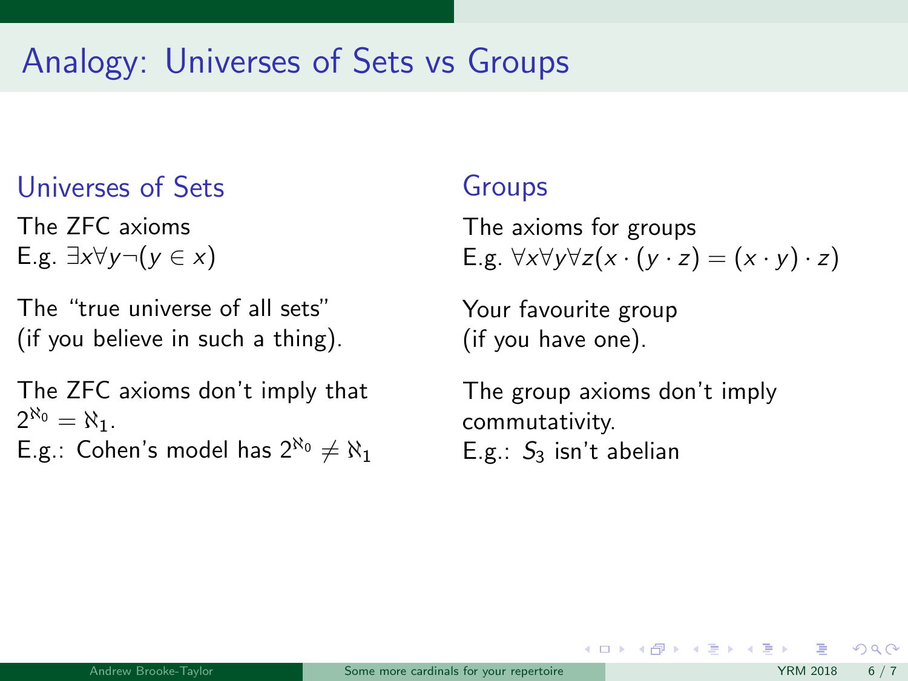## Universes of Sets

The ZFC axioms E.g.  $\exists x \forall y \neg (y \in x)$ 

The "true universe of all sets" (if you believe in such a thing).

The ZFC axioms don't imply that  $2^{\aleph_0} = \aleph_1$ . E.g.: Cohen's model has  $2^{\aleph_0} \neq \aleph_1$ 

### Groups

The axioms for groups E.g.  $\forall x \forall y \forall z (x \cdot (y \cdot z) = (x \cdot y) \cdot z)$ 

Your favourite group (if you have one).

The group axioms don't imply commutativity. E.g.:  $S_3$  isn't abelian

メロト メ何ト メミト メミト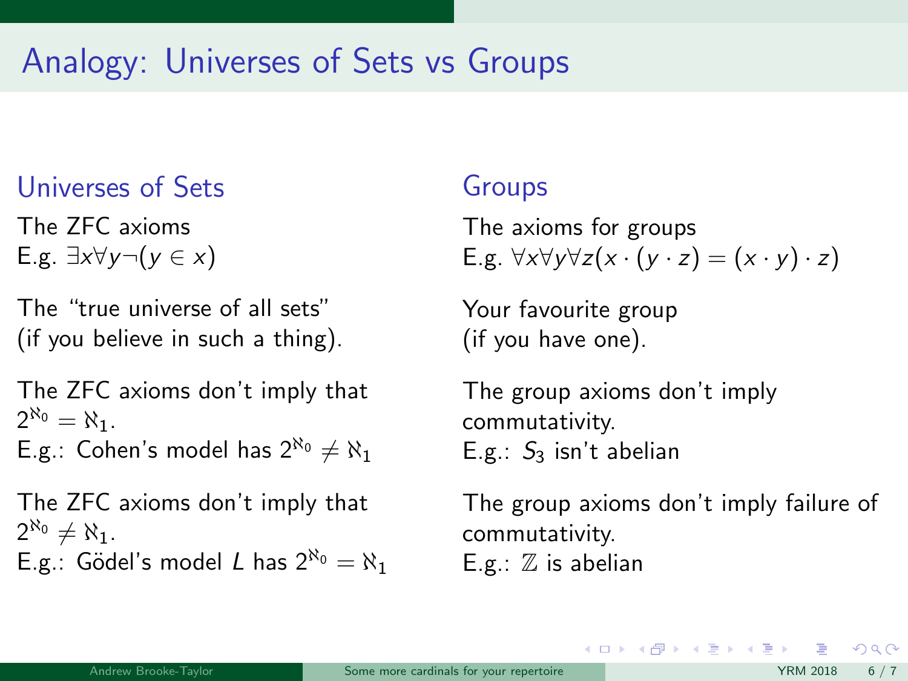## Universes of Sets

The ZFC axioms E.g.  $\exists x \forall y \neg (y \in x)$ 

The "true universe of all sets" (if you believe in such a thing).

The ZFC axioms don't imply that  $2^{\aleph_0} = \aleph_1$ .

E.g.: Cohen's model has  $2^{\aleph_0} \neq \aleph_1$ 

The ZFC axioms don't imply that  $2^{\aleph_0} \neq \aleph_1$ . E.g.: Gödel's model L has  $2^{\aleph_0} = \aleph_1$ 

## Groups

The axioms for groups E.g.  $\forall x \forall y \forall z (x \cdot (y \cdot z) = (x \cdot y) \cdot z)$ 

Your favourite group (if you have one).

The group axioms don't imply commutativity. E.g.:  $S_3$  isn't abelian

The group axioms don't imply failure of commutativity.  $E.g.: \mathbb{Z}$  is abelian

 $\left\{ \begin{array}{ccc} 1 & 0 & 0 \\ 0 & 1 & 0 \end{array} \right.$